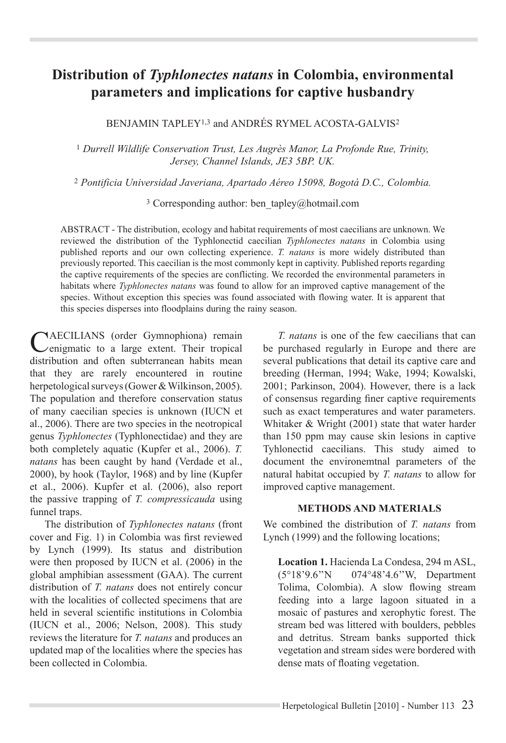# **Distribution of** *Typhlonectes natans* **in Colombia, environmental parameters and implications for captive husbandry**

BENJAMIN TAPLEY1,3 and ANDRÉS RYMEL ACOSTA-GALVIS2

<sup>1</sup> *Durrell Wildlife Conservation Trust, Les Augrès Manor, La Profonde Rue, Trinity, Jersey, Channel Islands, JE3 5BP. UK.* 

<sup>2</sup> *Pontificia Universidad Javeriana, Apartado Aéreo 15098, Bogotá D.C., Colombia.*

3 Corresponding author: ben\_tapley@hotmail.com

ABSTRACT - The distribution, ecology and habitat requirements of most caecilians are unknown. We reviewed the distribution of the Typhlonectid caecilian *Typhlonectes natans* in Colombia using published reports and our own collecting experience. *T. natans* is more widely distributed than previously reported. This caecilian is the most commonly kept in captivity. Published reports regarding the captive requirements of the species are conflicting. We recorded the environmental parameters in habitats where *Typhlonectes natans* was found to allow for an improved captive management of the species. Without exception this species was found associated with flowing water. It is apparent that this species disperses into floodplains during the rainy season.

CAECILIANS (order Gymnophiona) remain<br>
Cenigmatic to a large extent. Their tropical distribution and often subterranean habits mean that they are rarely encountered in routine herpetological surveys (Gower & Wilkinson, 2005). The population and therefore conservation status of many caecilian species is unknown (IUCN et al., 2006). There are two species in the neotropical genus *Typhlonectes* (Typhlonectidae) and they are both completely aquatic (Kupfer et al., 2006). T. *natans* has been caught by hand (Verdade et al., 2000), by hook (Taylor, 1968) and by line (Kupfer et al., 2006). Kupfer et al. (2006), also report the passive trapping of *T. compressicauda* using funnel traps.

The distribution of *Typhlonectes natans* (front cover and Fig. 1) in Colombia was first reviewed by Lynch (1999). Its status and distribution were then proposed by IUCN et al. (2006) in the global amphibian assessment (GAA). The current distribution of *T. natans* does not entirely concur with the localities of collected specimens that are held in several scientific institutions in Colombia (IUCN et al., 2006; Nelson, 2008). This study reviews the literature for *T. natans* and produces an updated map of the localities where the species has been collected in Colombia.

*T. natans* is one of the few caecilians that can be purchased regularly in Europe and there are several publications that detail its captive care and breeding (Herman, 1994; Wake, 1994; Kowalski, 2001; Parkinson, 2004). However, there is a lack of consensus regarding finer captive requirements such as exact temperatures and water parameters. Whitaker & Wright (2001) state that water harder than 150 ppm may cause skin lesions in captive Tyhlonectid caecilians. This study aimed to document the environemtnal parameters of the natural habitat occupied by *T. natans* to allow for improved captive management.

## **METHODS AND MATERIALS**

We combined the distribution of *T. natans* from Lynch  $(1999)$  and the following locations;

**Location 1.** Hacienda La Condesa, 294 m ASL, (5°18'9.6"N 074°48'4.6"W, Department Tolima, Colombia). A slow flowing stream feeding into a large lagoon situated in a mosaic of pastures and xerophytic forest. The stream bed was littered with boulders, pebbles and detritus. Stream banks supported thick vegetation and stream sides were bordered with dense mats of floating vegetation.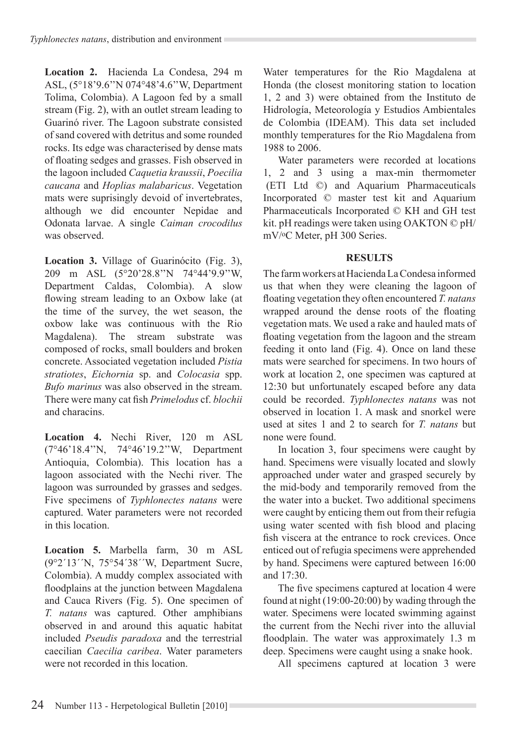**Location 2.** Hacienda La Condesa, 294 m ASL, (5°18'9.6"N 074°48'4.6"W, Department Tolima, Colombia). A Lagoon fed by a small stream (Fig. 2), with an outlet stream leading to Guarinó river. The Lagoon substrate consisted of sand covered with detritus and some rounded rocks. Its edge was characterised by dense mats of floating sedges and grasses. Fish observed in the lagoon included *Caquetia kraussii*, *Poecilia caucana* and *Hoplias malabaricus*. Vegetation mats were suprisingly devoid of invertebrates, although we did encounter Nepidae and Odonata larvae. A single *Caiman crocodilus*  was observed.

**Location 3.** Village of Guarinócito (Fig. 3), 209 m ASL  $(5^{\circ}20'28.8''N)$  74°44'9.9"W, Department Caldas, Colombia). A slow flowing stream leading to an Oxbow lake (at the time of the survey, the wet season, the oxbow lake was continuous with the Rio Magdalena). The stream substrate was composed of rocks, small boulders and broken concrete. Associated vegetation included *Pistia stratiotes*, *Eichornia* sp. and *Colocasia* spp. *Bufo marinus* was also observed in the stream. There were many cat fish *Primelodus* cf. *blochii* and characins.

**Location 4.** Nechi River, 120 m ASL (7°46'18.4"N, 74°46'19.2"W, Department Antioquia, Colombia). This location has a lagoon associated with the Nechi river. The lagoon was surrounded by grasses and sedges. Five specimens of *Typhlonectes natans* were captured. Water parameters were not recorded in this location.

**Location 5.** Marbella farm, 30 m ASL (9°2'13''N, 75°54'38''W, Department Sucre, Colombia). A muddy complex associated with floodplains at the junction between Magdalena and Cauca Rivers (Fig. 5). One specimen of *T. natans* was captured. Other amphibians observed in and around this aquatic habitat included *Pseudis paradoxa* and the terrestrial caecilian *Caecilia caribea*. Water parameters were not recorded in this location.

Water temperatures for the Rio Magdalena at Honda (the closest monitoring station to location  $1, 2$  and 3) were obtained from the Instituto de Hidrología, Meteorología y Estudios Ambientales de Colombia (IDEAM). This data set included monthly temperatures for the Rio Magdalena from 1988 to 2006.

Water parameters were recorded at locations 1, 2 and 3 using a max-min thermometer (ETI Ltd ©) and Aquarium Pharmaceuticals Incorporated © master test kit and Aquarium Pharmaceuticals Incorporated © KH and GH test kit. pH readings were taken using OAKTON © pH/ mV/oC Meter, pH 300 Series.

# **RESULTS**

The farm workers at Hacienda La Condesa informed us that when they were cleaning the lagoon of floating vegetation they often encountered *T. natans* wrapped around the dense roots of the floating vegetation mats. We used a rake and hauled mats of floating vegetation from the lagoon and the stream feeding it onto land (Fig. 4). Once on land these mats were searched for specimens. In two hours of work at location 2, one specimen was captured at 12:30 but unfortunately escaped before any data could be recorded. *Typhlonectes natans* was not observed in location 1. A mask and snorkel were used at sites 1 and 2 to search for  $T$  *natans* but none were found.

In location 3, four specimens were caught by hand. Specimens were visually located and slowly approached under water and grasped securely by the mid-body and temporarily removed from the the water into a bucket. Two additional specimens were caught by enticing them out from their refugia using water scented with fish blood and placing fish viscera at the entrance to rock crevices. Once enticed out of refugia specimens were apprehended by hand. Specimens were captured between 16:00 and  $17.30$ .

The five specimens captured at location 4 were found at night  $(19:00-20:00)$  by wading through the water. Specimens were located swimming against the current from the Nechi river into the alluvial floodplain. The water was approximately  $1.3 \text{ m}$ deep. Specimens were caught using a snake hook.

All specimens captured at location 3 were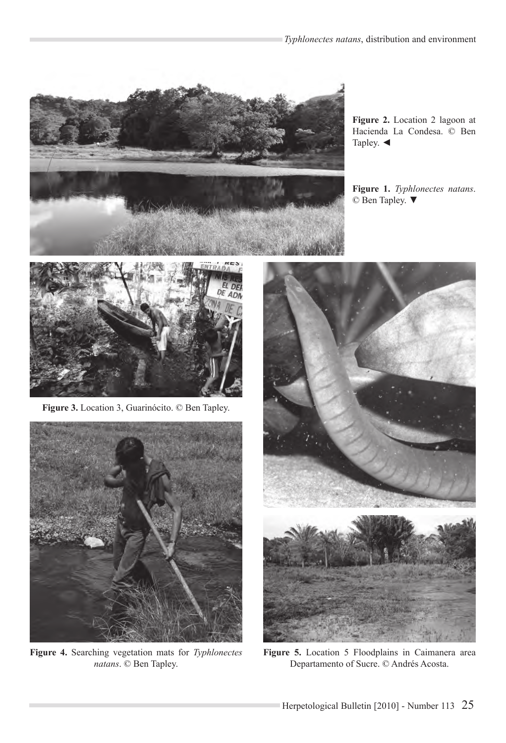

**Figure 2.** Location 2 lagoon at Hacienda La Condesa. © Ben Tapley.  $\blacktriangleleft$ 

**Figure 1.** *Typhlonectes natans*. © Ben Tapley. ▼



**Figure 3.** Location 3, Guarinócito. © Ben Tapley.



Figure 4. Searching vegetation mats for *Typhlonectes natans*. © Ben Tapley.



**Figure 5.** Location 5 Floodplains in Caimanera area Departamento of Sucre. © Andrés Acosta.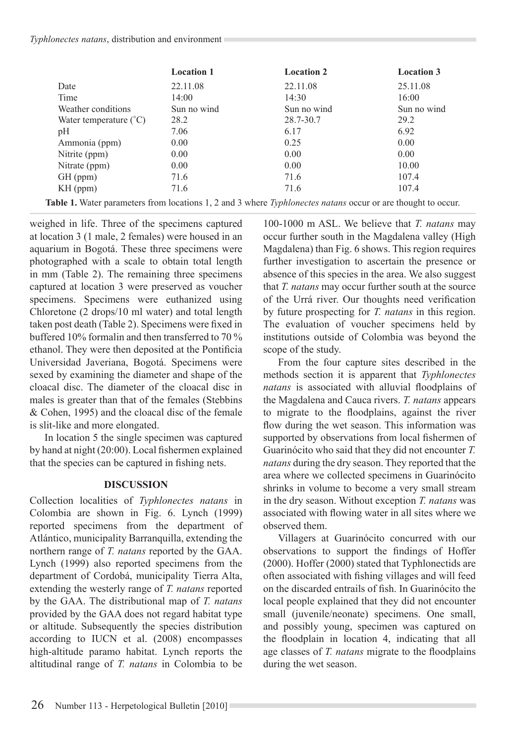#### *Typhlonectes natans*, distribution and environment

|                                   | <b>Location 1</b> | <b>Location 2</b> | <b>Location 3</b> |
|-----------------------------------|-------------------|-------------------|-------------------|
| Date                              | 22.11.08          | 22.11.08          | 25.11.08          |
| Time                              | 14:00             | 14:30             | 16:00             |
| Weather conditions                | Sun no wind       | Sun no wind       | Sun no wind       |
| Water temperature $({}^{\circ}C)$ | 28.2              | 28.7-30.7         | 29.2              |
| pH                                | 7.06              | 6.17              | 6.92              |
| Ammonia (ppm)                     | 0.00              | 0.25              | 0.00              |
| Nitrite (ppm)                     | 0.00              | 0.00              | 0.00              |
| Nitrate (ppm)                     | 0.00              | 0.00              | 10.00             |
| GH (ppm)                          | 71.6              | 71.6              | 107.4             |
| $KH$ (ppm)                        | 71.6              | 71.6              | 107.4             |
|                                   |                   |                   |                   |

**Table 1.** Water parameters from locations 1, 2 and 3 where *Typhlonectes natans* occur or are thought to occur.

weighed in life. Three of the specimens captured at location  $3(1 \text{ male}, 2 \text{ females})$  were housed in an aquarium in Bogotá. These three specimens were photographed with a scale to obtain total length in mm (Table 2). The remaining three specimens captured at location 3 were preserved as voucher specimens. Specimens were euthanized using Chloretone (2 drops/10 ml water) and total length taken post death (Table 2). Specimens were fixed in buffered 10% formal in and then transferred to  $70\%$ ethanol. They were then deposited at the Pontificia Universidad Javeriana, Bogotá. Specimens were sexed by examining the diameter and shape of the cloacal disc. The diameter of the cloacal disc in males is greater than that of the females (Stebbins  $& Cohen. 1995$  and the cloacal disc of the female is slit-like and more elongated.

In location 5 the single specimen was captured by hand at night  $(20:00)$ . Local fishermen explained that the species can be captured in fishing nets.

# **DISCUSSION**

Collection localities of *Typhlonectes natans* in Colombia are shown in Fig. 6. Lynch (1999) reported specimens from the department of Atlántico, municipality Barranquilla, extending the northern range of *T. natans* reported by the GAA. Lynch  $(1999)$  also reported specimens from the department of Cordobá, municipality Tierra Alta, extending the westerly range of T. natans reported by the GAA. The distributional map of T. natans provided by the GAA does not regard habitat type or altitude. Subsequently the species distribution according to IUCN et al. (2008) encompasses high-altitude paramo habitat. Lynch reports the altitudinal range of *T. natans* in Colombia to be

100-1000 m ASL. We believe that *T. natans* may occur further south in the Magdalena valley (High Magdalena) than Fig. 6 shows. This region requires further investigation to ascertain the presence or absence of this species in the area. We also suggest that *T. natans* may occur further south at the source of the Urrá river. Our thoughts need verification by future prospecting for *T. natans* in this region. The evaluation of voucher specimens held by institutions outside of Colombia was beyond the scope of the study.

From the four capture sites described in the methods section it is apparent that *Typhlonectes natans* is associated with alluvial floodplains of the Magdalena and Cauca rivers. *T. natans* appears to migrate to the floodplains, against the river flow during the wet season. This information was supported by observations from local fishermen of Guarinócito who said that they did not encounter *T. natans* during the dry season. They reported that the area where we collected specimens in Guarinócito shrinks in volume to become a very small stream in the dry season. Without exception *T. natans* was associated with flowing water in all sites where we observed them.

Villagers at Guarinócito concurred with our observations to support the findings of Hoffer  $(2000)$ . Hoffer  $(2000)$  stated that Typhlonectids are often associated with fishing villages and will feed on the discarded entrails of fish. In Guarinócito the local people explained that they did not encounter small (juvenile/neonate) specimens. One small, and possibly young, specimen was captured on the floodplain in location 4, indicating that all age classes of *T. natans* migrate to the floodplains during the wet season.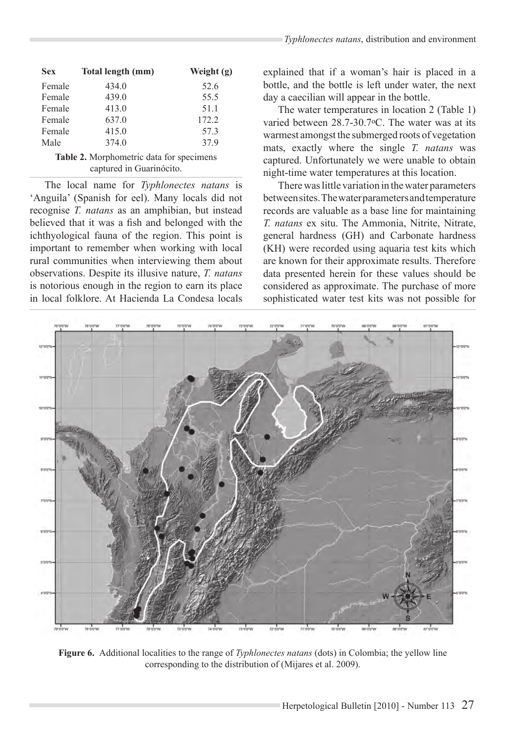| <b>Sex</b> | Total length (mm) | Weight (g) |
|------------|-------------------|------------|
| Female     | 434.0             | 52.6       |
| Female     | 439.0             | 55.5       |
| Female     | 413.0             | 51.1       |
| Female     | 637.0             | 172.2      |
| Female     | 415.0             | 57.3       |
| Male       | 374.0             | 37.9       |

Table 2. Morphometric data for specimens captured in Guarinócito.

The local name for *Typhlonectes natans* is 'Anguila' (Spanish for eel). Many locals did not recognise *T. natans* as an amphibian, but instead believed that it was a fish and belonged with the ichthyological fauna of the region. This point is important to remember when working with local rural communities when interviewing them about observations. Despite its illusive nature, *T. natans* is notorious enough in the region to earn its place in local folklore. At Hacienda La Condesa locals

explained that if a woman's hair is placed in a bottle, and the bottle is left under water, the next day a caecilian will appear in the bottle.

The water temperatures in location 2 (Table 1) varied between 28.7-30.7oC. The water was at its warmest amongst the submerged roots of vegetation mats, exactly where the single *T. natans* was captured. Unfortunately we were unable to obtain night-time water temperatures at this location.

There was little variation in the water parameters between sites. The water parameters and temperature records are valuable as a base line for maintaining *T. natans* ex situ. The Ammonia, Nitrite, Nitrate, general hardness (GH) and Carbonate hardness (KH) were recorded using aquaria test kits which are known for their approximate results. Therefore data presented herein for these values should be considered as approximate. The purchase of more sophisticated water test kits was not possible for



Figure 6. Additional localities to the range of *Typhlonectes natans* (dots) in Colombia; the yellow line corresponding to the distribution of (Mijares et al. 2009).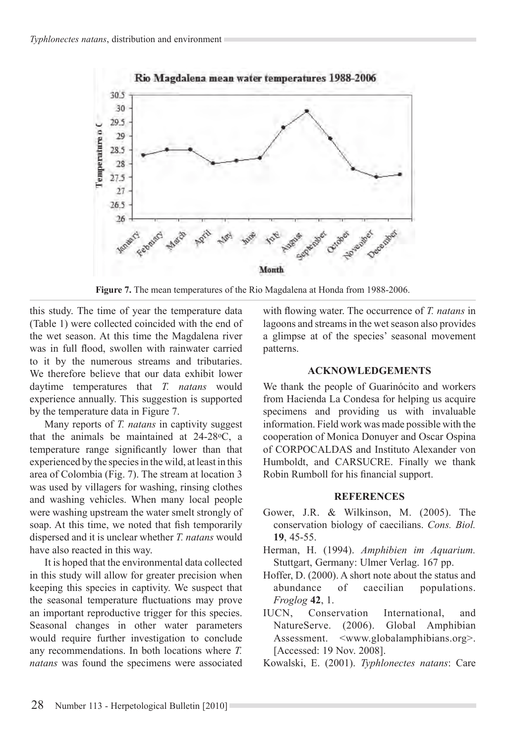

Figure 7. The mean temperatures of the Rio Magdalena at Honda from 1988-2006.

this study. The time of year the temperature data (Table 1) were collected coincided with the end of the wet season. At this time the Magdalena river was in full flood, swollen with rainwater carried to it by the numerous streams and tributaries. We therefore believe that our data exhibit lower daytime temperatures that *T. natans* would experience annually. This suggestion is supported by the temperature data in Figure 7.

Many reports of *T. natans* in captivity suggest that the animals be maintained at 24-28oC, a temperature range significantly lower than that experienced by the species in the wild, at least in this area of Colombia (Fig. 7). The stream at location 3 was used by villagers for washing, rinsing clothes and washing vehicles. When many local people were washing upstream the water smelt strongly of soap. At this time, we noted that fish temporarily dispersed and it is unclear whether *T. natans* would have also reacted in this way.

It is hoped that the environmental data collected in this study will allow for greater precision when keeping this species in captivity. We suspect that the seasonal temperature fluctuations may prove an important reproductive trigger for this species. Seasonal changes in other water parameters would require further investigation to conclude any recommendations. In both locations where *T. natans* was found the specimens were associated with flowing water. The occurrence of T. natans in lagoons and streams in the wet season also provides a glimpse at of the species' seasonal movement patterns.

## **ACKNOWLEDGEMENTS**

We thank the people of Guarinócito and workers from Hacienda La Condesa for helping us acquire specimens and providing us with invaluable information. Field work was made possible with the cooperation of Monica Donuyer and Oscar Ospina of CORPOCALDAS and Instituto Alexander von Humboldt, and CARSUCRE. Finally we thank Robin Rumboll for his financial support.

## **REFERENCES**

- Gower, J.R. & Wilkinson, M. (2005). The conservation biology of caecilians. Cons. Biol. **19**, 45-55.
- Herman, H. (1994). *Amphibien im Aquarium.* Stuttgart, Germany: Ulmer Verlag. 167 pp.
- Hoffer, D. (2000). A short note about the status and abundance of caecilian populations. *Froglog* **42**, 1.
- IUCN, Conservation International, and NatureServe. (2006). Global Amphibian Assessment. <www.globalamphibians.org>. [Accessed: 19 Nov. 2008].
- Kowalski, E. (2001). *Typhlonectes natans*: Care